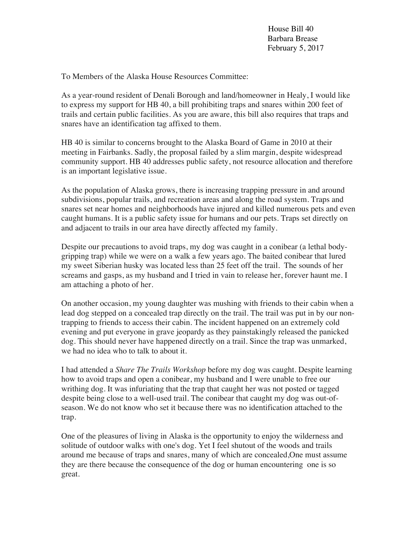House Bill 40 Barbara Brease February 5, 2017

To Members of the Alaska House Resources Committee:

As a year-round resident of Denali Borough and land/homeowner in Healy, I would like to express my support for HB 40, a bill prohibiting traps and snares within 200 feet of trails and certain public facilities. As you are aware, this bill also requires that traps and snares have an identification tag affixed to them.

HB 40 is similar to concerns brought to the Alaska Board of Game in 2010 at their meeting in Fairbanks. Sadly, the proposal failed by a slim margin, despite widespread community support. HB 40 addresses public safety, not resource allocation and therefore is an important legislative issue.

As the population of Alaska grows, there is increasing trapping pressure in and around subdivisions, popular trails, and recreation areas and along the road system. Traps and snares set near homes and neighborhoods have injured and killed numerous pets and even caught humans. It is a public safety issue for humans and our pets. Traps set directly on and adjacent to trails in our area have directly affected my family.

Despite our precautions to avoid traps, my dog was caught in a conibear (a lethal bodygripping trap) while we were on a walk a few years ago. The baited conibear that lured my sweet Siberian husky was located less than 25 feet off the trail. The sounds of her screams and gasps, as my husband and I tried in vain to release her, forever haunt me. I am attaching a photo of her.

On another occasion, my young daughter was mushing with friends to their cabin when a lead dog stepped on a concealed trap directly on the trail. The trail was put in by our nontrapping to friends to access their cabin. The incident happened on an extremely cold evening and put everyone in grave jeopardy as they painstakingly released the panicked dog. This should never have happened directly on a trail. Since the trap was unmarked, we had no idea who to talk to about it.

I had attended a *Share The Trails Workshop* before my dog was caught. Despite learning how to avoid traps and open a conibear, my husband and I were unable to free our writhing dog. It was infuriating that the trap that caught her was not posted or tagged despite being close to a well-used trail. The conibear that caught my dog was out-ofseason. We do not know who set it because there was no identification attached to the trap.

One of the pleasures of living in Alaska is the opportunity to enjoy the wilderness and solitude of outdoor walks with one's dog. Yet I feel shutout of the woods and trails around me because of traps and snares, many of which are concealed,One must assume they are there because the consequence of the dog or human encountering one is so great.